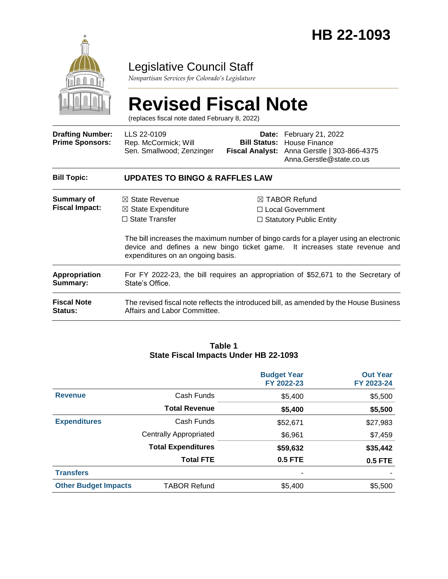

## Legislative Council Staff

*Nonpartisan Services for Colorado's Legislature*

# **Revised Fiscal Note**

(replaces fiscal note dated February 8, 2022)

| <b>Drafting Number:</b><br><b>Prime Sponsors:</b> | LLS 22-0109<br>Rep. McCormick; Will<br>Sen. Smallwood; Zenzinger                                                                                                                                         |                                                                                  | Date: February 21, 2022<br><b>Bill Status: House Finance</b><br>Fiscal Analyst: Anna Gerstle   303-866-4375<br>Anna.Gerstle@state.co.us |  |  |  |
|---------------------------------------------------|----------------------------------------------------------------------------------------------------------------------------------------------------------------------------------------------------------|----------------------------------------------------------------------------------|-----------------------------------------------------------------------------------------------------------------------------------------|--|--|--|
| <b>Bill Topic:</b>                                | <b>UPDATES TO BINGO &amp; RAFFLES LAW</b>                                                                                                                                                                |                                                                                  |                                                                                                                                         |  |  |  |
| Summary of<br><b>Fiscal Impact:</b>               | $\boxtimes$ State Revenue<br>$\boxtimes$ State Expenditure<br>$\Box$ State Transfer                                                                                                                      | $\boxtimes$ TABOR Refund<br>□ Local Government<br>$\Box$ Statutory Public Entity |                                                                                                                                         |  |  |  |
|                                                   | The bill increases the maximum number of bingo cards for a player using an electronic<br>device and defines a new bingo ticket game. It increases state revenue and<br>expenditures on an ongoing basis. |                                                                                  |                                                                                                                                         |  |  |  |
| Appropriation<br>Summary:                         | For FY 2022-23, the bill requires an appropriation of \$52,671 to the Secretary of<br>State's Office.                                                                                                    |                                                                                  |                                                                                                                                         |  |  |  |
| <b>Fiscal Note</b><br><b>Status:</b>              | Affairs and Labor Committee.                                                                                                                                                                             |                                                                                  | The revised fiscal note reflects the introduced bill, as amended by the House Business                                                  |  |  |  |

#### **Table 1 State Fiscal Impacts Under HB 22-1093**

|                             |                               | <b>Budget Year</b><br>FY 2022-23 | <b>Out Year</b><br>FY 2023-24 |
|-----------------------------|-------------------------------|----------------------------------|-------------------------------|
| <b>Revenue</b>              | Cash Funds                    | \$5,400                          | \$5,500                       |
|                             | <b>Total Revenue</b>          | \$5,400                          | \$5,500                       |
| <b>Expenditures</b>         | Cash Funds                    | \$52,671                         | \$27,983                      |
|                             | <b>Centrally Appropriated</b> | \$6,961                          | \$7,459                       |
|                             | <b>Total Expenditures</b>     | \$59,632                         | \$35,442                      |
|                             | <b>Total FTE</b>              | <b>0.5 FTE</b>                   | <b>0.5 FTE</b>                |
| <b>Transfers</b>            |                               | -                                |                               |
| <b>Other Budget Impacts</b> | <b>TABOR Refund</b>           | \$5,400                          | \$5,500                       |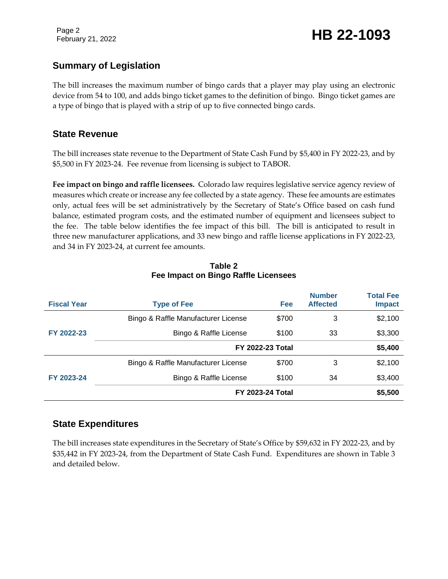Page 2

# February 21, 2022 **HB 22-1093**

### **Summary of Legislation**

The bill increases the maximum number of bingo cards that a player may play using an electronic device from 54 to 100, and adds bingo ticket games to the definition of bingo. Bingo ticket games are a type of bingo that is played with a strip of up to five connected bingo cards.

#### **State Revenue**

The bill increases state revenue to the Department of State Cash Fund by \$5,400 in FY 2022-23, and by \$5,500 in FY 2023-24. Fee revenue from licensing is subject to TABOR.

**Fee impact on bingo and raffle licensees.** Colorado law requires legislative service agency review of measures which create or increase any fee collected by a state agency. These fee amounts are estimates only, actual fees will be set administratively by the Secretary of State's Office based on cash fund balance, estimated program costs, and the estimated number of equipment and licensees subject to the fee. The table below identifies the fee impact of this bill. The bill is anticipated to result in three new manufacturer applications, and 33 new bingo and raffle license applications in FY 2022-23, and 34 in FY 2023-24, at current fee amounts.

| <b>Fiscal Year</b> | <b>Type of Fee</b>                  | Fee   | <b>Number</b><br><b>Affected</b> | <b>Total Fee</b><br><b>Impact</b> |
|--------------------|-------------------------------------|-------|----------------------------------|-----------------------------------|
|                    | Bingo & Raffle Manufacturer License | \$700 | 3                                | \$2,100                           |
| FY 2022-23         | Bingo & Raffle License              | \$100 | 33                               | \$3,300                           |
|                    | <b>FY 2022-23 Total</b>             |       | \$5,400                          |                                   |
|                    | Bingo & Raffle Manufacturer License | \$700 | 3                                | \$2,100                           |
| FY 2023-24         | Bingo & Raffle License              | \$100 | 34                               | \$3,400                           |
|                    | FY 2023-24 Total                    |       |                                  | \$5,500                           |

#### **Table 2 Fee Impact on Bingo Raffle Licensees**

#### **State Expenditures**

The bill increases state expenditures in the Secretary of State's Office by \$59,632 in FY 2022-23, and by \$35,442 in FY 2023-24, from the Department of State Cash Fund. Expenditures are shown in Table 3 and detailed below.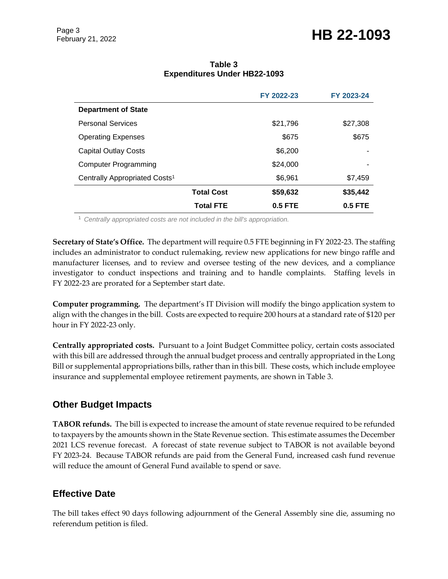# February 21, 2022 **HB 22-1093**

|                                           |                   | FY 2022-23 | FY 2023-24 |
|-------------------------------------------|-------------------|------------|------------|
| <b>Department of State</b>                |                   |            |            |
| <b>Personal Services</b>                  |                   | \$21,796   | \$27,308   |
| <b>Operating Expenses</b>                 |                   | \$675      | \$675      |
| <b>Capital Outlay Costs</b>               |                   | \$6,200    |            |
| <b>Computer Programming</b>               |                   | \$24,000   |            |
| Centrally Appropriated Costs <sup>1</sup> |                   | \$6,961    | \$7,459    |
|                                           | <b>Total Cost</b> | \$59,632   | \$35,442   |
|                                           | <b>Total FTE</b>  | $0.5$ FTE  | $0.5$ FTE  |

#### **Table 3 Expenditures Under HB22-1093**

<sup>1</sup> *Centrally appropriated costs are not included in the bill's appropriation.*

**Secretary of State's Office.** The department will require 0.5 FTE beginning in FY 2022-23. The staffing includes an administrator to conduct rulemaking, review new applications for new bingo raffle and manufacturer licenses, and to review and oversee testing of the new devices, and a compliance investigator to conduct inspections and training and to handle complaints. Staffing levels in FY 2022-23 are prorated for a September start date.

**Computer programming.** The department's IT Division will modify the bingo application system to align with the changes in the bill. Costs are expected to require 200 hours at a standard rate of \$120 per hour in FY 2022-23 only.

**Centrally appropriated costs.** Pursuant to a Joint Budget Committee policy, certain costs associated with this bill are addressed through the annual budget process and centrally appropriated in the Long Bill or supplemental appropriations bills, rather than in this bill. These costs, which include employee insurance and supplemental employee retirement payments, are shown in Table 3.

#### **Other Budget Impacts**

**TABOR refunds.** The bill is expected to increase the amount of state revenue required to be refunded to taxpayers by the amounts shown in the State Revenue section. This estimate assumes the December 2021 LCS revenue forecast. A forecast of state revenue subject to TABOR is not available beyond FY 2023-24. Because TABOR refunds are paid from the General Fund, increased cash fund revenue will reduce the amount of General Fund available to spend or save.

#### **Effective Date**

The bill takes effect 90 days following adjournment of the General Assembly sine die, assuming no referendum petition is filed.